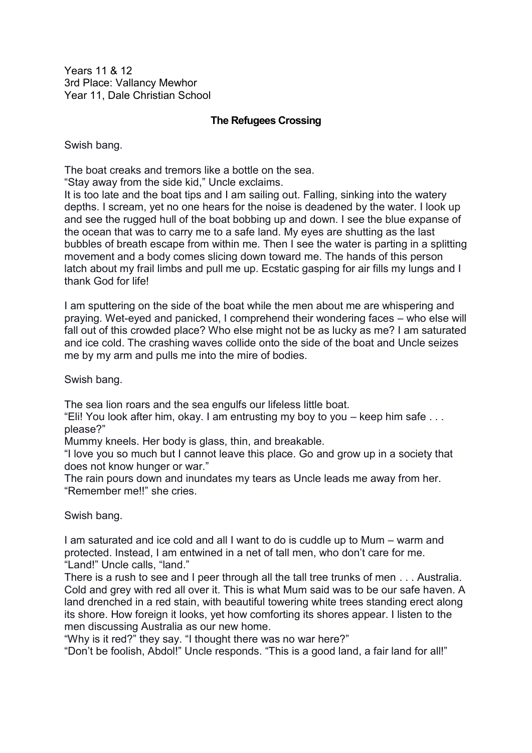Years 11 & 12 3rd Place: Vallancy Mewhor Year 11, Dale Christian School

## **The Refugees Crossing**

Swish bang.

The boat creaks and tremors like a bottle on the sea.

"Stay away from the side kid," Uncle exclaims.

It is too late and the boat tips and I am sailing out. Falling, sinking into the watery depths. I scream, yet no one hears for the noise is deadened by the water. I look up and see the rugged hull of the boat bobbing up and down. I see the blue expanse of the ocean that was to carry me to a safe land. My eyes are shutting as the last bubbles of breath escape from within me. Then I see the water is parting in a splitting movement and a body comes slicing down toward me. The hands of this person latch about my frail limbs and pull me up. Ecstatic gasping for air fills my lungs and I thank God for life!

I am sputtering on the side of the boat while the men about me are whispering and praying. Wet-eyed and panicked, I comprehend their wondering faces – who else will fall out of this crowded place? Who else might not be as lucky as me? I am saturated and ice cold. The crashing waves collide onto the side of the boat and Uncle seizes me by my arm and pulls me into the mire of bodies.

Swish bang.

The sea lion roars and the sea engulfs our lifeless little boat.

"Eli! You look after him, okay. I am entrusting my boy to you – keep him safe . . . please?"

Mummy kneels. Her body is glass, thin, and breakable.

"I love you so much but I cannot leave this place. Go and grow up in a society that does not know hunger or war."

The rain pours down and inundates my tears as Uncle leads me away from her. "Remember me!!" she cries.

Swish bang.

I am saturated and ice cold and all I want to do is cuddle up to Mum – warm and protected. Instead, I am entwined in a net of tall men, who don't care for me. "Land!" Uncle calls, "land."

There is a rush to see and I peer through all the tall tree trunks of men . . . Australia. Cold and grey with red all over it. This is what Mum said was to be our safe haven. A land drenched in a red stain, with beautiful towering white trees standing erect along its shore. How foreign it looks, yet how comforting its shores appear. I listen to the men discussing Australia as our new home.

"Why is it red?" they say. "I thought there was no war here?"

"Don't be foolish, Abdol!" Uncle responds. "This is a good land, a fair land for all!"